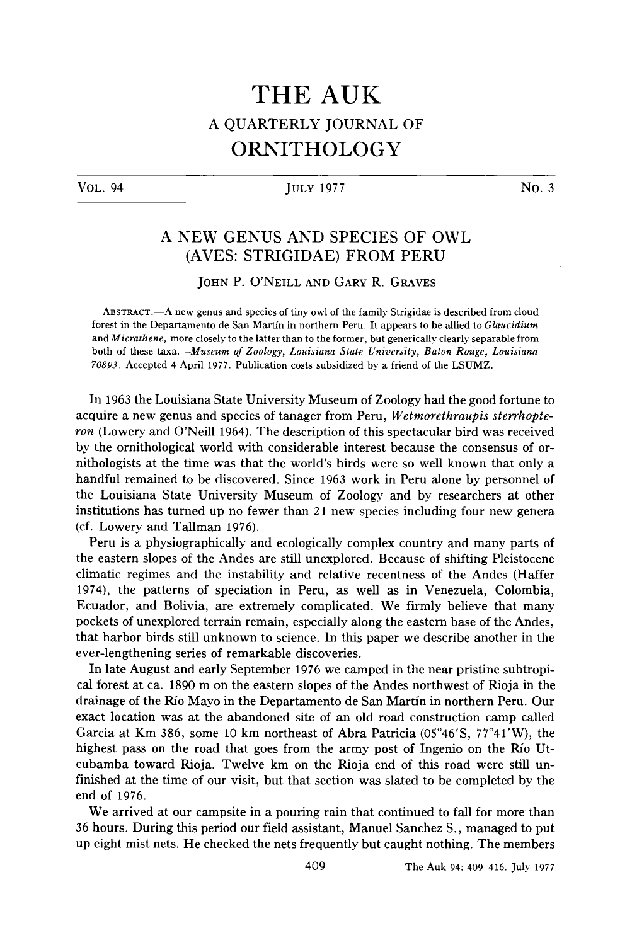# **THE AUK A QUARTERLY JOURNAL OF ORNITHOLOGY**

**VOL.** 94 **JULY 1977** NO. 3

## **A NEW GENUS AND SPECIES OF OWL (AVES: STRIGIDAE) FROM PERU**

**JOHN P. O'NEILL AND GARY R. GRAVES** 

**ABSTRACT.--A new genus and species of tiny owl of the family Strigidae is described from cloud**  forest in the Departamento de San Martín in northern Peru. It appears to be allied to Glaucidium **and Micrathene, more closely to the latter than to the former, but generically clearly separable from both of these taxa.--Museum of Zoology, Louisiana State University, Baton Rouge, Louisiana 70893. Accepted 4 April 1977. Publication costs subsidized by a friend of the LSUMZ.** 

**In 1963 the Louisiana State University Museum of Zoology had the good fortune to acquire a new genus and species of tanager from Peru, Wetmorethraupis sterrhopteron (Lowery and O'Neill 1964). The description of this spectacular bird was received by the ornithological world with considerable interest because the consensus of ornithologists at the time was that the world's birds were so well known that only a handful remained to be discovered. Since 1963 work in Peru alone by personnel of the Louisiana State University Museum of Zoology and by researchers at other institutions has turned up no fewer than 21 new species including four new genera (cf. Lowery and Tallman 1976).** 

**Peru is a physiographically and ecologically complex country and many parts of the eastern slopes of the Andes are still unexplored. Because of shifting Pleistocene climatic regimes and the instability and relative recentness of the Andes (Haffer 1974), the patterns of speciation in Peru, as well as in Venezuela, Colombia, Ecuador, and Bolivia, are extremely complicated. We firmly believe that many pockets of unexplored terrain remain, especially along the eastern base of the Andes, that harbor birds still unknown to science. In this paper we describe another in the ever-lengthening series of remarkable discoveries.** 

**In late August and early September 1976 we camped in the near pristine subtropical forest at ca. 1890 m on the eastern slopes of the Andes northwest of Rioja in the**  drainage of the Río Mayo in the Departamento de San Martín in northern Peru. Our **exact location was at the abandoned site of an old road construction camp called**  Garcia at Km 386, some 10 km northeast of Abra Patricia (05°46'S, 77°41'W), the highest pass on the road that goes from the army post of Ingenio on the Río Ut**cubamba toward Rioja. Twelve km on the Rioja end of this road were still unfinished at the time of our visit, but that section was slated to be completed by the end of 1976.** 

**We arrived at our campsite in a pouring rain that continued to fall for more than 36 hours. During this period our field assistant, Manuel Sanchez S., managed to put up eight mist nets. He checked the nets frequently but caught nothing. The members**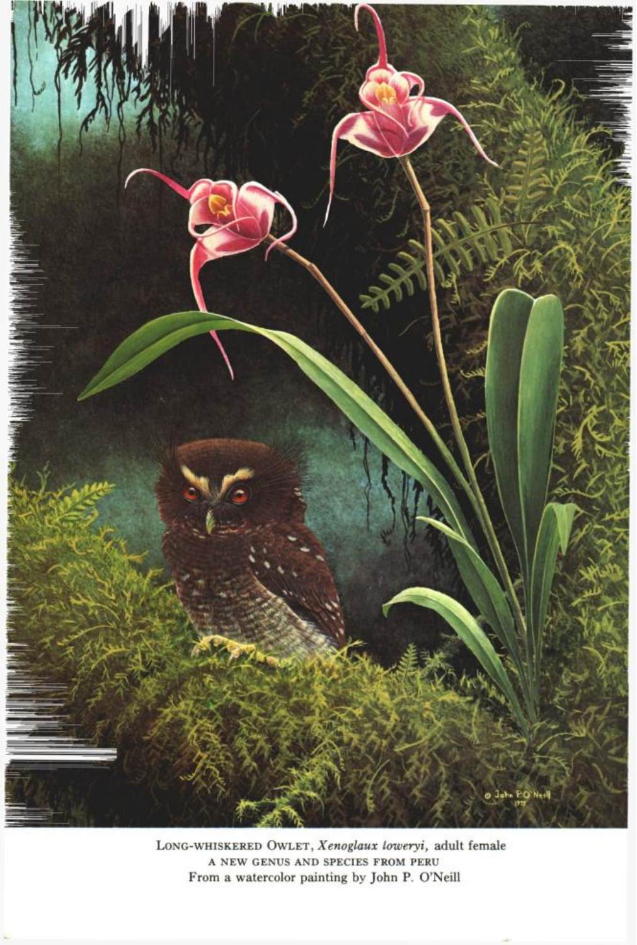

LONG-WHISKERED OWLET, Xenoglaux loweryi, adult female A NEW GENUS AND SPECIES FROM PERU **Long-whiskered or pointing by Lo A NEW GENUS AND SPECIES FROM PERU**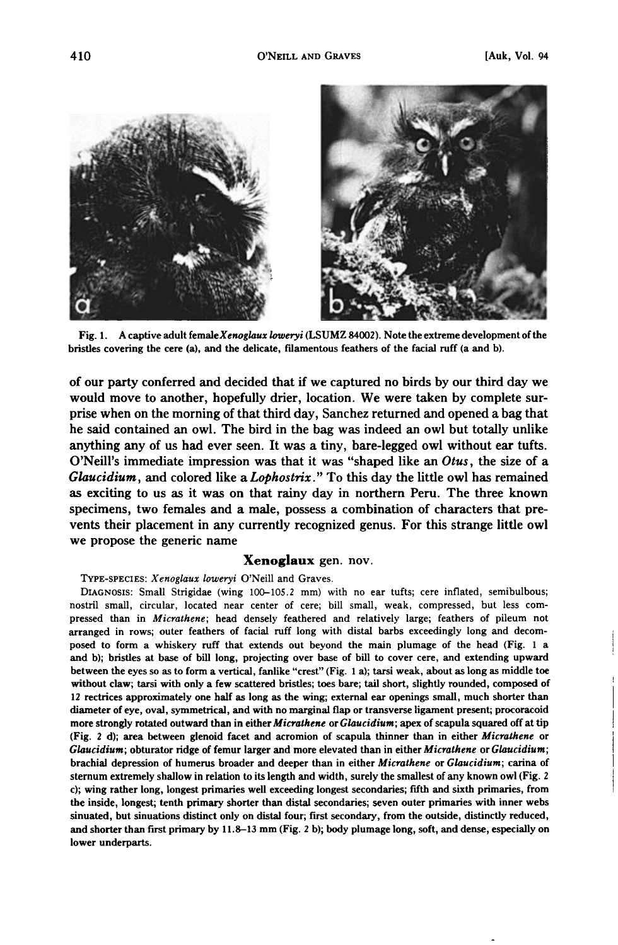

Fig. 1. A captive adult female Xenoglaux loweryi (LSUMZ 84002). Note the extreme development of the **bristles covering the cere (a), and the delicate, filamentous feathers of the facial ruff (a and b).** 

**of our party conferred and decided that if we captured no birds by our third day we would move to another, hopefully drier, location. We were taken by complete surprise when on the morning of that third day, Sanchez returned and opened a bag that he said contained an owl. The bird in the bag was indeed an owl but totally unlike anything any of us had ever seen. It was a tiny, bare-legged owl without ear tufts. O'Neill's immediate impression was that it was "shaped like an Otus, the size of a Glaucidium, and colored like a Lophostrix." To this day the little owl has remained as exciting to us as it was on that rainy day in northern Peru. The three known specimens, two females and a male, possess a combination of characters that prevents their placement in any currently recognized genus. For this strange little owl we propose the generic name** 

#### **Xenoglaux gen. nov.**

**TYPE-SPECIES: Xenoglaux loweryi O'Neill and Graves.** 

**DIAGNOSIS: Small Strigidae (wing 100-105.2 mm) with no ear tufts; cere inflated, semibulbous; nostril small, circular, located near center of cere; bill small, weak, compressed, but less com**pressed than in Micrathene; head densely feathered and relatively large; feathers of pileum not **arranged in rows; outer feathers of facial ruff long with distal barbs exceedingly long and decomposed to form a whiskery ruff that extends out beyond the main plumage of the head (Fig. I a and b); bristles at base of bill long, projecting over base of bill to cover cere, and extending upward between the eyes so as to form a vertical, fanlike "crest" (Fig. I a); tarsi weak, about as long as middle toe without claw; tarsi with only a few scattered bristles; toes bare; tail short, slightly rounded, composed of 12 rectrices approximately one half as long as the wing; external ear openings small, much shorter than diameter of eye, oval, symmetrical, and with no marginal flap or transverse ligament present; procoracoid more strongly rotated outward than in either Micrathene or Glaucidiurn; apex of scapula squared off at tip (Fig. 2 d); area between glenoid facet and acromion of scapula thinner than in either Micrathene or Glaucidiurn; obturator ridge of femur larger and more elevated than in either Micrathene or Glaucidiurn; brachial depression of humerus broader and deeper than in either Micrathene or Glaucidiurn; carina of sternum extremely shallow in relation to its length and width, surely the smallest of any known owl (Fig. 2 c); wing rather long, longest primaries well exceeding longest secondaries; fifth and sixth primaries, from the inside, longest; tenth primary shorter than distal secondaries; seven outer primaries with inner webs sinuated, but sinuations distinct only on distal four; first secondary, from the outside, distinctly reduced, and shorter than first primary by 11.8-13 mm (Fig. 2 b); body plumage long, soft, and dense, especially on lower underparts.**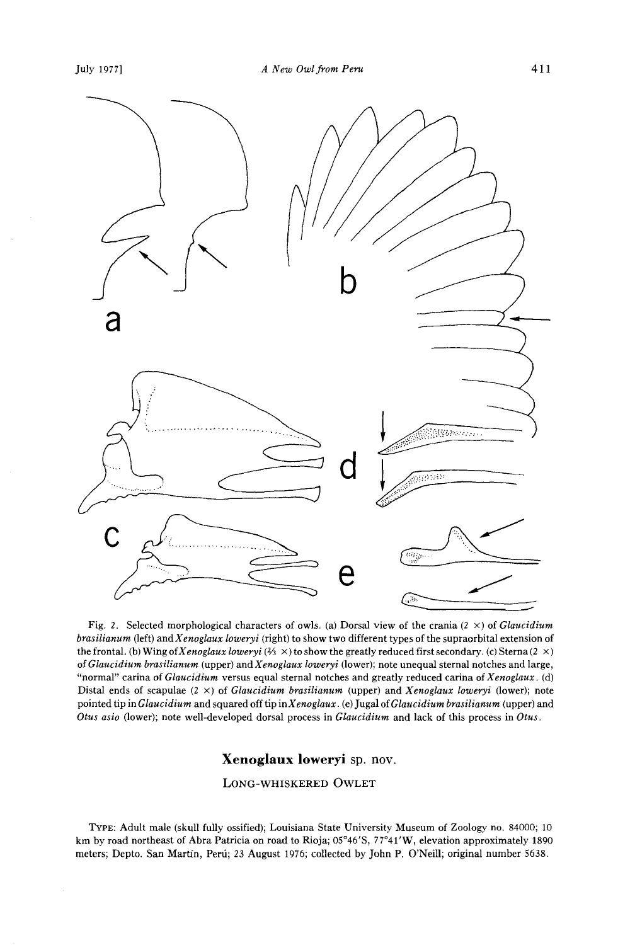

Fig. 2. Selected morphological characters of owls. (a) Dorsal view of the crania  $(2 \times)$  of *Glaucidium* **brasilianum (left) and Xenoglaux loweryi (right) to show two different types of the supraorbital extension of**  the frontal. (b) Wing of Xenoglaux loweryi ( $\frac{3}{2}$   $\times$ ) to show the greatly reduced first secondary. (c) Sterna (2  $\times$ ) **of Glaucidium brasilianum (upper) and Xenoglaux loweryi (lower); note unequal sternal notches and large, "normal" carina of Glaucidium versus equal sternal notches and greatly reduced carina of Xenoglaux. (d)**  Distal ends of scapulae  $(2 \times)$  of *Glaucidium brasilianum* (upper) and *Xenoglaux loweryi* (lower); note **pointed tip in Glaucidium and squared off tip inXenoglaux. (e) Jugal ofGlaucidium brasilianum (upper) and Otus asio (lower); note well-developed dorsal process in Glaucidium and lack of this process in Otus.** 

### **Xenoglaux 1oweryi sp. nov.**

## **LONG-WHISKERED OWLET**

**TYPE: Adult male (skull fully ossified); Louisiana State University Museum of Zoology no. 84000; 10**  km by road northeast of Abra Patricia on road to Rioja; 05°46'S, 77°41'W, elevation approximately 1890 **meters; Depto. San Martin, Petri; 23 August 1976; collected by John P. O'Neill; original number 5638.**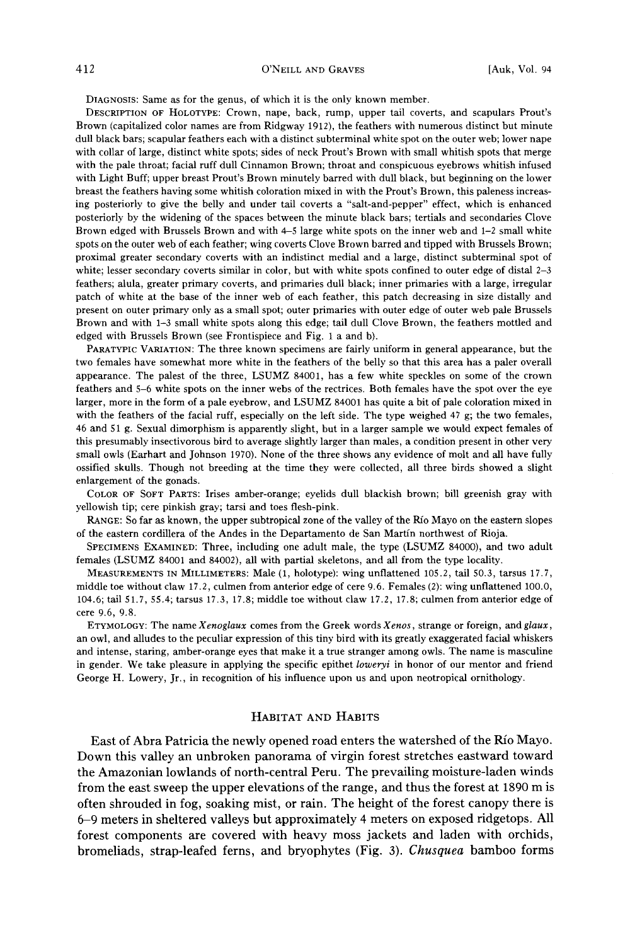**DIAGNOSIS: Same as for the genus, of which it is the only known member.** 

**DESCRIPTION OF HOLOTYPE: Crown, nape, back, rump, upper tail coverts, and scapulars Prout's Brown (capitalized color names are from Ridgway 1912), the feathers with numerous distinct but minute dull black bars; scapular feathers each with a distinct subterminal white spot on the outer web; lower nape with collar of large, distinct white spots; sides of neck Prout's Brown with small whitish spots that merge with the pale throat; facial ruff dull Cinnamon Brown; throat and conspicuous eyebrows whitish infused with Light Buff; upper breast Prout's Brown minutely barred with dull black, but beginning on the lower breast the feathers having some whitish coloration mixed in with the Prout's Brown, this paleness increasing posteriorly to give the belly and under tail coverts a "salt-and-pepper" effect, which is enhanced posteriorly by the widening of the spaces between the minute black bars; tertials and secondaries Clove Brown edged with Brussels Brown and with 4-5 large white spots on the inner web and 1-2 small white spots .on the outer web of each feather; wing coverts Clove Brown barred and tipped with Brussels Brown; proximal greater secondary coverts with an indistinct medial and a large, distinct subterminal spot of white; lesser secondary coverts similar in color, but with white spots confined to outer edge of distal 2-3 feathers; alula, greater primary coverts, and primaries dull black; inner primaries with a large, irregular patch of white at the base of the inner web of each feather, this patch decreasing in size distally and present on outer primary only as a small spot; outer primaries with outer edge of outer web pale Brussels Brown and with 1-3 small white spots along this edge; tail dull Clove Brown, the feathers mottled and edged with Brussels Brown (see Frontispiece and Fig. 1 a and b).** 

**PARATYPIC VARIATION: The three known specimens are fairly uniform in general appearance, but the two females have somewhat more white in the feathers of the belly so that this area has a paler overall appearance. The palest of the three, LSUMZ 84001, has a few white speckles on some of the crown feathers and 5-6 white spots on the inner webs of the rectrices. Both females have the spot over the eye larger, more in the form of a pale eyebrow, and LSUMZ 84001 has quite a bit of pale coloration mixed in with the feathers of the facial ruff, especially on the left side. The type weighed 47 g; the two females, 46 and 51 g. Sexual dimorphism is apparently slight, but in a larger sample we would expect females of this presumably insectivorous bird to average slightly larger than males, a condition present in other very small owls (Earhart and Johnson 1970). None of the three shows any evidence of molt and all have fully ossified skulls. Though not breeding at the time they were collected, all three birds showed a slight enlargement of the gonads.** 

**COLOR OF SOFT PARTS: Irises amber-orange; eyelids dull blackish brown; bill greenish gray with yellowish tip; cere pinkish gray; tarsi and toes flesh-pink.** 

RANGE: So far as known, the upper subtropical zone of the valley of the Río Mayo on the eastern slopes **of the eastern cordillera of the Andes in the Departamento de San Martin northwest of Rioja.** 

SPECIMENS EXAMINED: Three, including one adult male, the type (LSUMZ 84000), and two adult **females (LSUMZ 84001 and 84002), all with partial skeletons, and all from the type locality.** 

**MEASUREMENTS IN MILLIMETERS: Male (1, holotype): wing unflattened 105.2, tail 50.3, tarsus 17.7, middle toe without claw 17.2, culmen from anterior edge of cere 9.6. Females (2): wing unflattened 100.0, 104.6; tail 51.7, 55.4; tarsus 17.3, 17.8; middle toe without claw 17.2, 17.8; culmen from anterior edge of cere 9.6, 9.8.** 

**ETYMOLOGY: The name Xenoglaux comes from the Greek words Xenos, strange or foreign, and glaux, an owl, and alludes to the peculiar expression of this tiny bird with its greatly exaggerated facial whiskers and intense, staring, amber-orange eyes that make it a true stranger among owls. The name is masculine in gender. We take pleasure in applying the specific epithet loweryi in honor of our mentor and friend George H. Lowery, Jr., in recognition of his influence upon us and upon neotropical ornithology.** 

#### **HABITAT AND HABITS**

**East of Abra Patricia the newly opened road enters the watershed of the R/o Mayo. Down this valley an unbroken panorama of virgin forest stretches eastward toward the Amazonian lowlands of north-central Peru. The prevailing moisture-laden winds from the east sweep the upper elevations of the range, and thus the forest at 1890 m is often shrouded in fog, soaking mist, or rain. The height of the forest canopy there is**  6–9 meters in sheltered valleys but approximately 4 meters on exposed ridgetops. All **forest components are covered with heavy moss jackets and laden with orchids, bromeliads, strap-leafed ferns, and bryophytes (Fig. 3). Chusquea bamboo forms**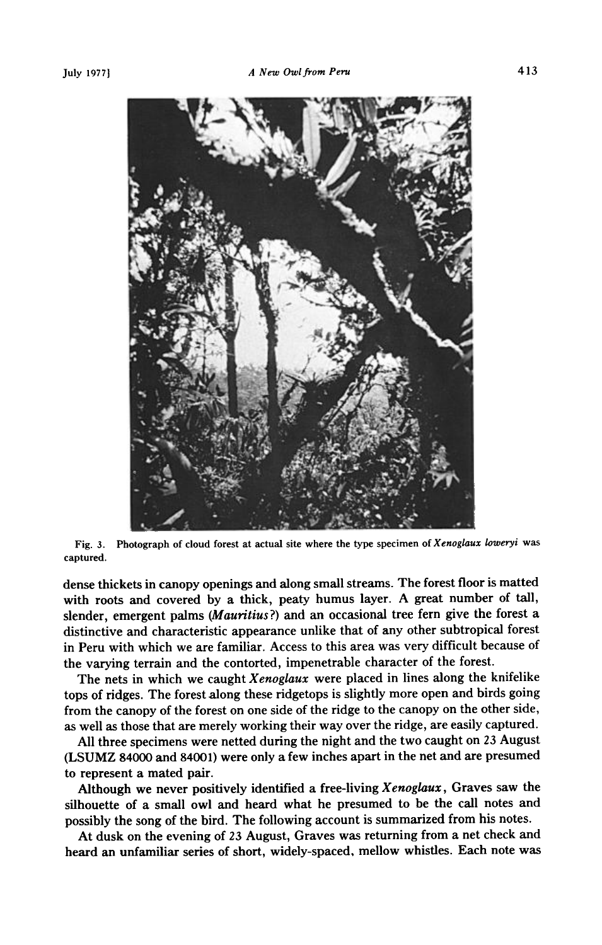

Fig. 3. Photograph of cloud forest at actual site where the type specimen of Xenoglaux loweryi was **captured.** 

dense thickets in canopy openings and along small streams. The forest floor is matted with roots and covered by a thick, peaty humus layer. A great number of tall, slender, emergent palms (*Mauritius?*) and an occasional tree fern give the forest a distinctive and characteristic appearance unlike that of any other subtropical forest in Peru with which we are familiar. Access to this area was very difficult because of the varying terrain and the contorted, impenetrable character of the forest.

The nets in which we caught Xenoglaux were placed in lines along the knifelike tops of ridges. The forest along these ridgetops is slightly more open and birds going from the canopy of the forest on one side of the ridge to the canopy on the other side, as well as those that are merely working their way over the ridge, are easily captured.

All three specimens were netted during the night and the two caught on 23 August (LSUMZ 84000 and 84001) were only a few inches apart in the net and are presumed to represent a mated pair.

Although we never positively identified a free-living Xenoglaux, Graves saw the silhouette of a small owl and heard what he presumed to be the call notes and possibly the song of the bird. The following account is summarized from his notes.

At dusk on the evening of 23 August, Graves was returning from a net check and heard an unfamiliar series of short, widely-spaced, mellow whistles. Each note was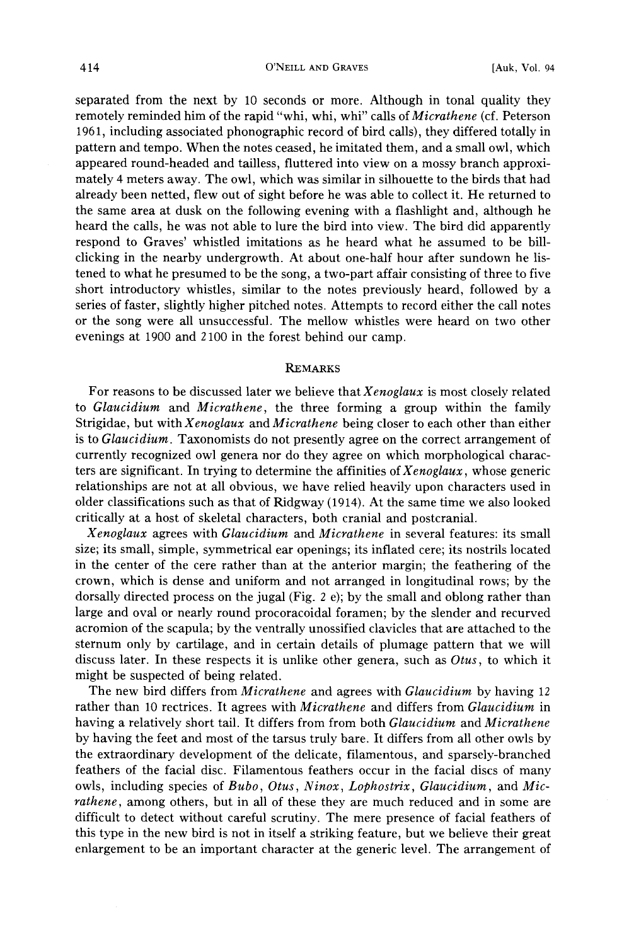**separated from the next by 10 seconds or more. Although in tonal quality they**  remotely reminded him of the rapid "whi, whi, whi" calls of *Micrathene* (cf. Peterson **1961, including associated phonographic record of bird calls), they differed totally in pattern and tempo. When the notes ceased, he imitated them, and a small owl, which appeared round-headed and tailless, fluttered into view on a mossy branch approximately 4 meters away. The owl, which was similar in silhouette to the birds that had already been netted, flew out of sight before he was able to collect it. He returned to the same area at dusk on the following evening with a flashlight and, although he heard the calls, he was not able to lure the bird into view. The bird did apparently respond to Graves' whistled imitations as he heard what he assumed to be billclicking in the nearby undergrowth. At about one-half hour after sundown he listened to what he presumed to be the song, a two-part affair consisting of three to five short introductory whistles, similar to the notes previously heard, followed by a series of faster, slightly higher pitched notes. Attempts to record either the call notes or the song were all unsuccessful. The mellow whistles were heard on two other evenings at 1900 and 2100 in the forest behind our camp.** 

#### **REMARKS**

**For reasons to be discussed later we believe that Xenoglaux is most closely related to Glaucidium and Micrathene, the three forming a group within the family Strigidae, but with Xenoglaux and Micrathene being closer to each other than either is to Glaucidium. Taxonomists do not presently agree on the correct arrangement of currently recognized owl genera nor do they agree on which morphological characters are significant. In trying to determine the affinities of Xenoglaux, whose generic relationships are not at all obvious, we have relied heavily upon characters used in older classifications such as that of Ridgway (1914). At the same time we also looked critically at a host of skeletal characters, both cranial and postcranial.** 

**Xenoglaux agrees with Glaucidium and Micrathene in several features: its small size; its small, simple, symmetrical ear openings; its inflated cere; its nostrils located in the center of the cere rather than at the anterior margin; the feathering of the crown, which is dense and uniform and not arranged in longitudinal rows; by the dorsally directed process on the jugal (Fig. 2 e); by the small and oblong rather than large and oval or nearly round procoracoidal foramen; by the slender and recurved acromion of the scapula; by the ventrally unossified clavicles that are attached to the sternum only by cartilage, and in certain details of plumage pattern that we will**  discuss later. In these respects it is unlike other genera, such as *Otus*, to which it **might be suspected of being related.** 

**The new bird differs from Micrathene and agrees with Glaucidium by having 12 rather than 10 rectrices. It agrees with Micrathene and differs from Glaucidium in having a relatively short tail. It differs from from both Glaucidium and Micrathene by having the feet and most of the tarsus truly bare. It differs from all other owls by the extraordinary development of the delicate, filamentous, and sparsely-branched feathers of the facial disc. Filamentous feathers occur in the facial discs of many owls, including species of Bubo, Otus, Ninox, Lophostrix, Glaucidium, and Micrathene, among others, but in all of these they are much reduced and in some are difficult to detect without careful scrutiny. The mere presence of facial feathers of this type in the new bird is not in itself a striking feature, but we believe their great enlargement to be an important character at the generic level. The arrangement of**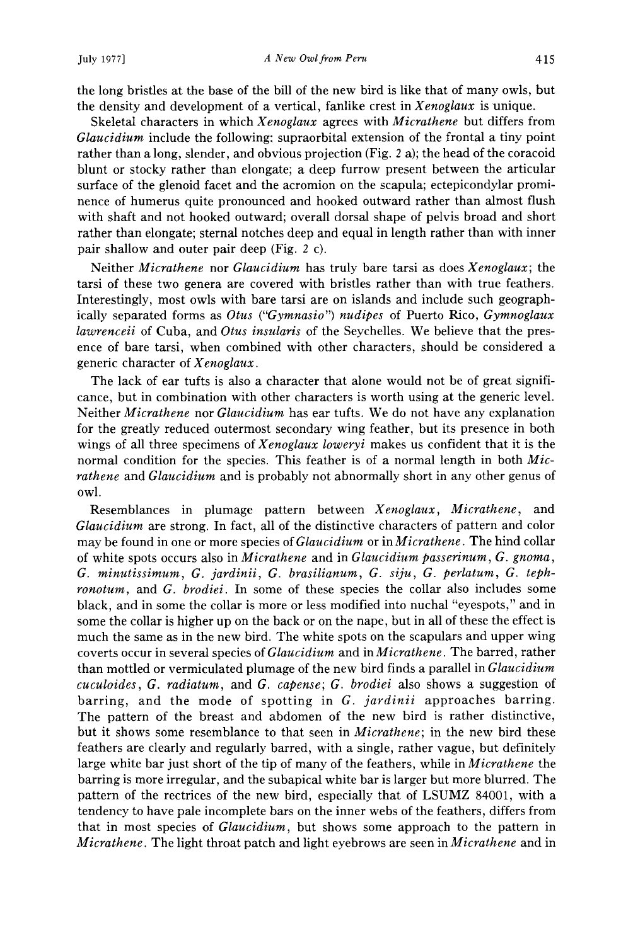**the long bristles at the base of the bill of the new bird is like that of many owls, but the density and development of a vertical, fanlike crest in Xenoglaux is unique.** 

**Skeletal characters in which Xenoglaux agrees with Micrathene but differs from Glaucidium include the following: supraorbital extension of the frontal a tiny point rather than a long, slender, and obvious projection (Fig. 2 a); the head of the coracoid blunt or stocky rather than elongate; a deep furrow present between the articular surface of the glenoid facet and the acromion on the scapula; ectepicondylar prominence of humerus quite pronounced and hooked outward rather than almost flush with shaft and not hooked outward; overall dorsal shape of pelvis broad and short rather than elongate; sternal notches deep and equal in length rather than with inner pair shallow and outer pair deep (Fig. 2 c).** 

**Neither Micrathene nor Glaucidium has truly bare tarsi as does Xenoglaux; the tarsi of these two genera are covered with bristles rather than with true feathers. Interestingly, most owls with bare tarsi are on islands and include such geographically separated forms as Otus ("Gymnasio") nudipes of Puerto Rico, Gymnoglaux lawrenceii of Cuba, and Otus insularis of the Seychelles. We believe that the presence of bare tarsi, when combined with other characters, should be considered a generic character of Xenoglaux.** 

**The lack of ear tufts is also a character that alone would not be of great significance, but in combination with other characters is worth using at the generic level. Neither Micrathene nor Glaucidium has ear tufts. We do not have any explanation for the greatly reduced outermost secondary wing feather, but its presence in both wings of all three specimens of Xenoglaux loweryi makes us confident that it is the normal condition for the species. This feather is of a normal length in both Micrathene and Glaucidium and is probably not abnormally short in any other genus of owl.** 

**Resemblances in plumage pattern between Xenoglaux, Micrathene, and Glaucidium are strong. In fact, all of the distinctive characters of pattern and color may be found in one or more species of Glaucidium or inMicrathene. The hind collar of white spots occurs also in Micrathene and in Glaucidium passerinum, G. gnoma, G. minutissimum, G. jardinii, G. brasilianum, G. siju, G. perlatum, G. tephronotum, and G. brodiei. In some of these species the collar also includes some black, and in some the collar is more or less modified into nuchal "eyespots," and in some the collar is higher up on the back or on the nape, but in all of these the effect is much the same as in the new bird. The white spots on the scapulars and upper wing coverts occur in several species of Glaucidium and in Micrathene. The barred, rather than mottled or vermiculated plumage of the new bird finds a parallel in Glaucidium cuculoides, G. radiatum, and G. capense; G. brodiei also shows a suggestion of barring, and the mode of spotting in G. jardinii approaches barring. The pattern of the breast and abdomen of the new bird is rather distinctive, but it shows some resemblance to that seen in Micrathene; in the new bird these feathers are clearly and regularly barred, with a single, rather vague, but definitely large white bar just short of the tip of many of the feathers, while in Micrathene the barring is more irregular, and the subapical white bar is larger but more blurred. The pattern of the rectrices of the new bird, especially that of LSUMZ 84001, with a tendency to have pale incomplete bars on the inner webs of the feathers, differs from that in most species of Glaucidium, but shows some approach to the pattern in Micrathene. The light throat patch and light eyebrows are seen in Micrathene and in**